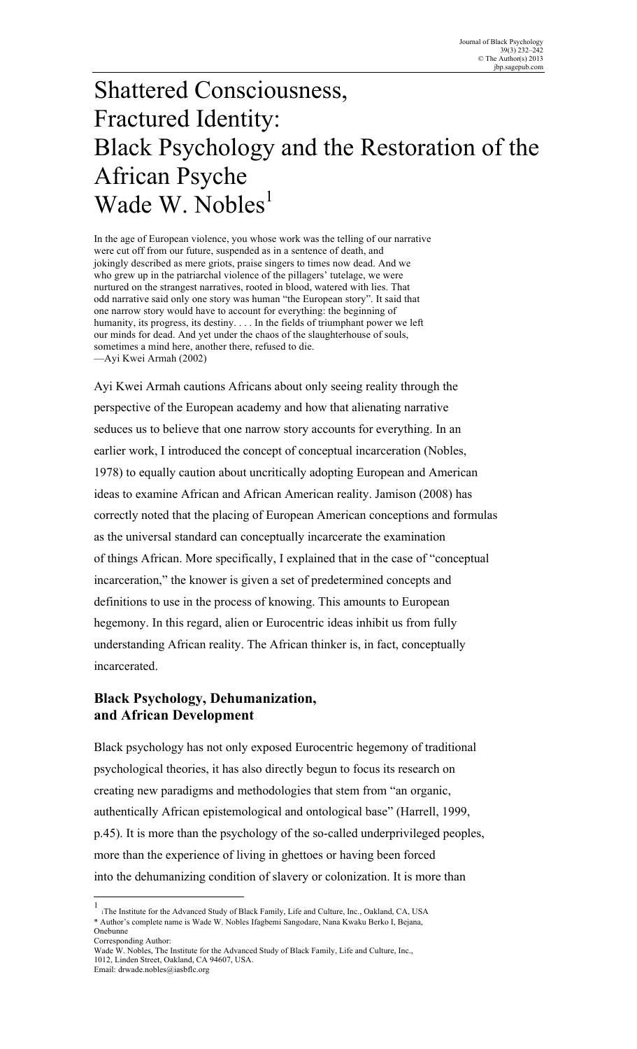# Shattered Consciousness, Fractured Identity: Black Psychology and the Restoration of the African Psyche Wade W. Nobles<sup>1</sup>

In the age of European violence, you whose work was the telling of our narrative were cut off from our future, suspended as in a sentence of death, and jokingly described as mere griots, praise singers to times now dead. And we who grew up in the patriarchal violence of the pillagers' tutelage, we were nurtured on the strangest narratives, rooted in blood, watered with lies. That odd narrative said only one story was human "the European story". It said that one narrow story would have to account for everything: the beginning of humanity, its progress, its destiny. . . . In the fields of triumphant power we left our minds for dead. And yet under the chaos of the slaughterhouse of souls, sometimes a mind here, another there, refused to die. —Ayi Kwei Armah (2002)

Ayi Kwei Armah cautions Africans about only seeing reality through the perspective of the European academy and how that alienating narrative seduces us to believe that one narrow story accounts for everything. In an earlier work, I introduced the concept of conceptual incarceration (Nobles, 1978) to equally caution about uncritically adopting European and American ideas to examine African and African American reality. Jamison (2008) has correctly noted that the placing of European American conceptions and formulas as the universal standard can conceptually incarcerate the examination of things African. More specifically, I explained that in the case of "conceptual incarceration," the knower is given a set of predetermined concepts and definitions to use in the process of knowing. This amounts to European hegemony. In this regard, alien or Eurocentric ideas inhibit us from fully understanding African reality. The African thinker is, in fact, conceptually incarcerated.

# **Black Psychology, Dehumanization, and African Development**

Black psychology has not only exposed Eurocentric hegemony of traditional psychological theories, it has also directly begun to focus its research on creating new paradigms and methodologies that stem from "an organic, authentically African epistemological and ontological base" (Harrell, 1999, p.45). It is more than the psychology of the so-called underprivileged peoples, more than the experience of living in ghettoes or having been forced into the dehumanizing condition of slavery or colonization. It is more than

 $1$ <sub>1</sub>The Institute for the Advanced Study of Black Family, Life and Culture, Inc., Oakland, CA, USA \* Author's complete name is Wade W. Nobles Ifagbemi Sangodare, Nana Kwaku Berko I, Bejana, Onebunne

Corresponding Author:

Wade W. Nobles, The Institute for the Advanced Study of Black Family, Life and Culture, Inc., 1012, Linden Street, Oakland, CA 94607, USA.

Email: drwade.nobles@iasbflc.org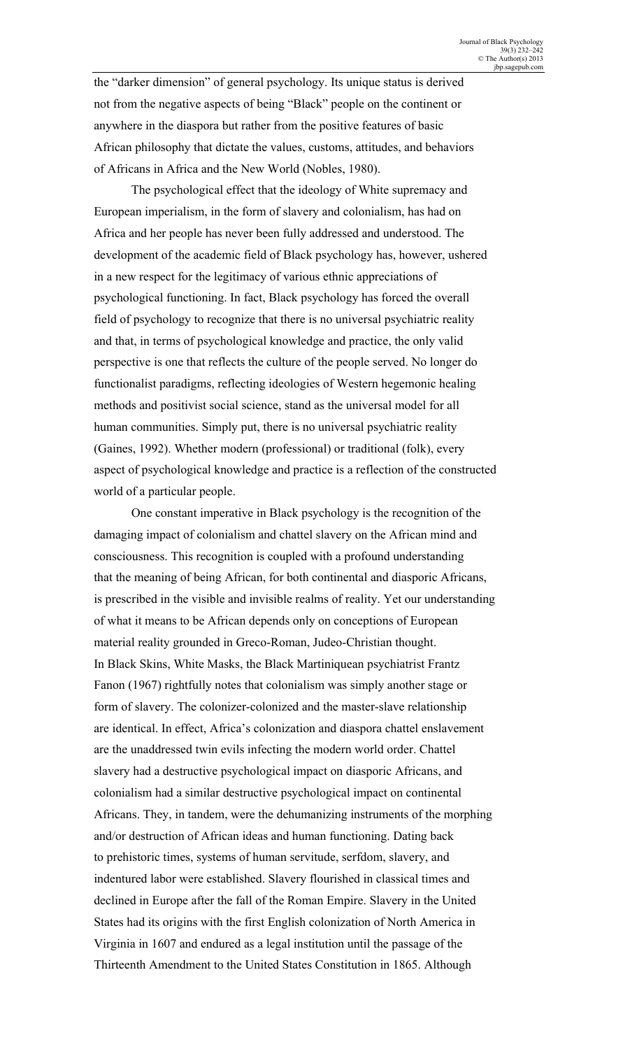the "darker dimension" of general psychology. Its unique status is derived not from the negative aspects of being "Black" people on the continent or anywhere in the diaspora but rather from the positive features of basic African philosophy that dictate the values, customs, attitudes, and behaviors of Africans in Africa and the New World (Nobles, 1980).

The psychological effect that the ideology of White supremacy and European imperialism, in the form of slavery and colonialism, has had on Africa and her people has never been fully addressed and understood. The development of the academic field of Black psychology has, however, ushered in a new respect for the legitimacy of various ethnic appreciations of psychological functioning. In fact, Black psychology has forced the overall field of psychology to recognize that there is no universal psychiatric reality and that, in terms of psychological knowledge and practice, the only valid perspective is one that reflects the culture of the people served. No longer do functionalist paradigms, reflecting ideologies of Western hegemonic healing methods and positivist social science, stand as the universal model for all human communities. Simply put, there is no universal psychiatric reality (Gaines, 1992). Whether modern (professional) or traditional (folk), every aspect of psychological knowledge and practice is a reflection of the constructed world of a particular people.

One constant imperative in Black psychology is the recognition of the damaging impact of colonialism and chattel slavery on the African mind and consciousness. This recognition is coupled with a profound understanding that the meaning of being African, for both continental and diasporic Africans, is prescribed in the visible and invisible realms of reality. Yet our understanding of what it means to be African depends only on conceptions of European material reality grounded in Greco-Roman, Judeo-Christian thought. In Black Skins, White Masks, the Black Martiniquean psychiatrist Frantz Fanon (1967) rightfully notes that colonialism was simply another stage or form of slavery. The colonizer-colonized and the master-slave relationship are identical. In effect, Africa's colonization and diaspora chattel enslavement are the unaddressed twin evils infecting the modern world order. Chattel slavery had a destructive psychological impact on diasporic Africans, and colonialism had a similar destructive psychological impact on continental Africans. They, in tandem, were the dehumanizing instruments of the morphing and/or destruction of African ideas and human functioning. Dating back to prehistoric times, systems of human servitude, serfdom, slavery, and indentured labor were established. Slavery flourished in classical times and declined in Europe after the fall of the Roman Empire. Slavery in the United States had its origins with the first English colonization of North America in Virginia in 1607 and endured as a legal institution until the passage of the Thirteenth Amendment to the United States Constitution in 1865. Although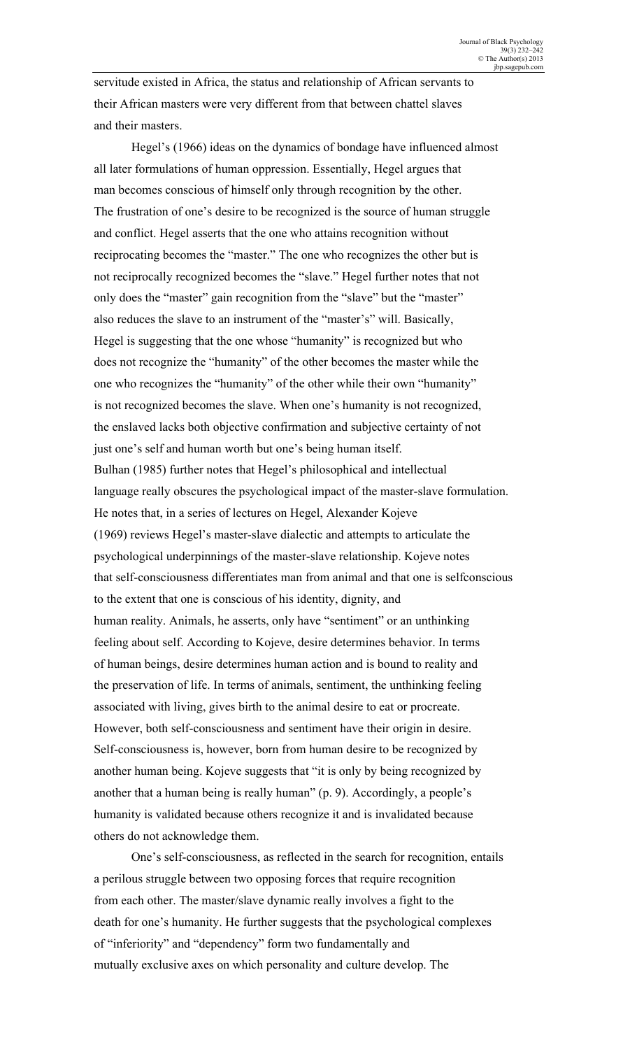servitude existed in Africa, the status and relationship of African servants to their African masters were very different from that between chattel slaves and their masters.

Hegel's (1966) ideas on the dynamics of bondage have influenced almost all later formulations of human oppression. Essentially, Hegel argues that man becomes conscious of himself only through recognition by the other. The frustration of one's desire to be recognized is the source of human struggle and conflict. Hegel asserts that the one who attains recognition without reciprocating becomes the "master." The one who recognizes the other but is not reciprocally recognized becomes the "slave." Hegel further notes that not only does the "master" gain recognition from the "slave" but the "master" also reduces the slave to an instrument of the "master's" will. Basically, Hegel is suggesting that the one whose "humanity" is recognized but who does not recognize the "humanity" of the other becomes the master while the one who recognizes the "humanity" of the other while their own "humanity" is not recognized becomes the slave. When one's humanity is not recognized, the enslaved lacks both objective confirmation and subjective certainty of not just one's self and human worth but one's being human itself. Bulhan (1985) further notes that Hegel's philosophical and intellectual language really obscures the psychological impact of the master-slave formulation. He notes that, in a series of lectures on Hegel, Alexander Kojeve (1969) reviews Hegel's master-slave dialectic and attempts to articulate the psychological underpinnings of the master-slave relationship. Kojeve notes that self-consciousness differentiates man from animal and that one is selfconscious to the extent that one is conscious of his identity, dignity, and human reality. Animals, he asserts, only have "sentiment" or an unthinking feeling about self. According to Kojeve, desire determines behavior. In terms of human beings, desire determines human action and is bound to reality and the preservation of life. In terms of animals, sentiment, the unthinking feeling associated with living, gives birth to the animal desire to eat or procreate. However, both self-consciousness and sentiment have their origin in desire. Self-consciousness is, however, born from human desire to be recognized by another human being. Kojeve suggests that "it is only by being recognized by another that a human being is really human" (p. 9). Accordingly, a people's humanity is validated because others recognize it and is invalidated because others do not acknowledge them.

One's self-consciousness, as reflected in the search for recognition, entails a perilous struggle between two opposing forces that require recognition from each other. The master/slave dynamic really involves a fight to the death for one's humanity. He further suggests that the psychological complexes of "inferiority" and "dependency" form two fundamentally and mutually exclusive axes on which personality and culture develop. The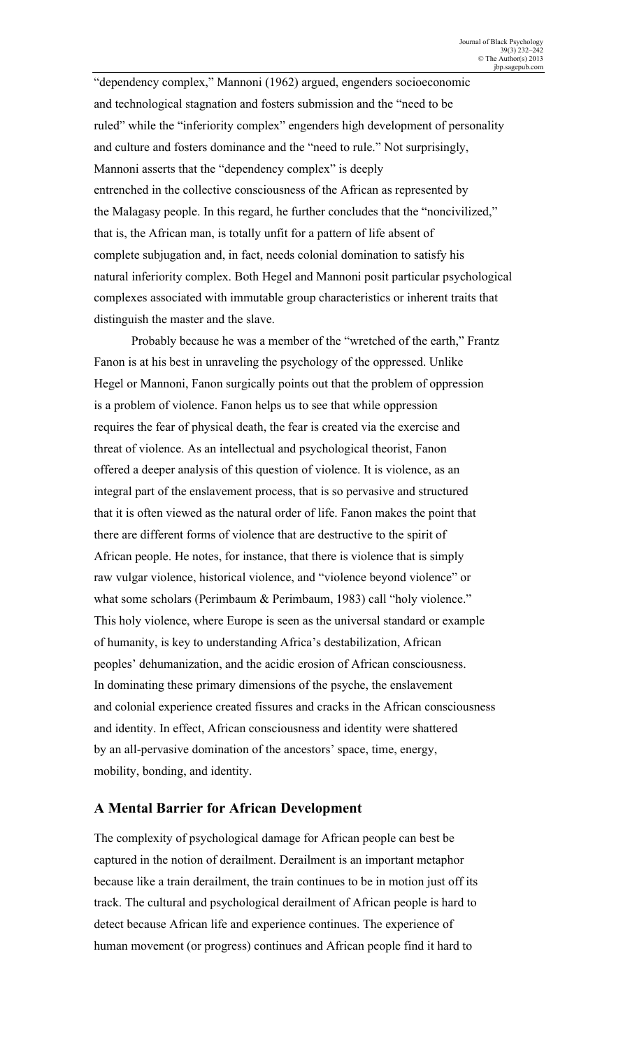"dependency complex," Mannoni (1962) argued, engenders socioeconomic and technological stagnation and fosters submission and the "need to be ruled" while the "inferiority complex" engenders high development of personality and culture and fosters dominance and the "need to rule." Not surprisingly, Mannoni asserts that the "dependency complex" is deeply entrenched in the collective consciousness of the African as represented by the Malagasy people. In this regard, he further concludes that the "noncivilized," that is, the African man, is totally unfit for a pattern of life absent of complete subjugation and, in fact, needs colonial domination to satisfy his natural inferiority complex. Both Hegel and Mannoni posit particular psychological complexes associated with immutable group characteristics or inherent traits that distinguish the master and the slave.

Probably because he was a member of the "wretched of the earth," Frantz Fanon is at his best in unraveling the psychology of the oppressed. Unlike Hegel or Mannoni, Fanon surgically points out that the problem of oppression is a problem of violence. Fanon helps us to see that while oppression requires the fear of physical death, the fear is created via the exercise and threat of violence. As an intellectual and psychological theorist, Fanon offered a deeper analysis of this question of violence. It is violence, as an integral part of the enslavement process, that is so pervasive and structured that it is often viewed as the natural order of life. Fanon makes the point that there are different forms of violence that are destructive to the spirit of African people. He notes, for instance, that there is violence that is simply raw vulgar violence, historical violence, and "violence beyond violence" or what some scholars (Perimbaum & Perimbaum, 1983) call "holy violence." This holy violence, where Europe is seen as the universal standard or example of humanity, is key to understanding Africa's destabilization, African peoples' dehumanization, and the acidic erosion of African consciousness. In dominating these primary dimensions of the psyche, the enslavement and colonial experience created fissures and cracks in the African consciousness and identity. In effect, African consciousness and identity were shattered by an all-pervasive domination of the ancestors' space, time, energy, mobility, bonding, and identity.

## **A Mental Barrier for African Development**

The complexity of psychological damage for African people can best be captured in the notion of derailment. Derailment is an important metaphor because like a train derailment, the train continues to be in motion just off its track. The cultural and psychological derailment of African people is hard to detect because African life and experience continues. The experience of human movement (or progress) continues and African people find it hard to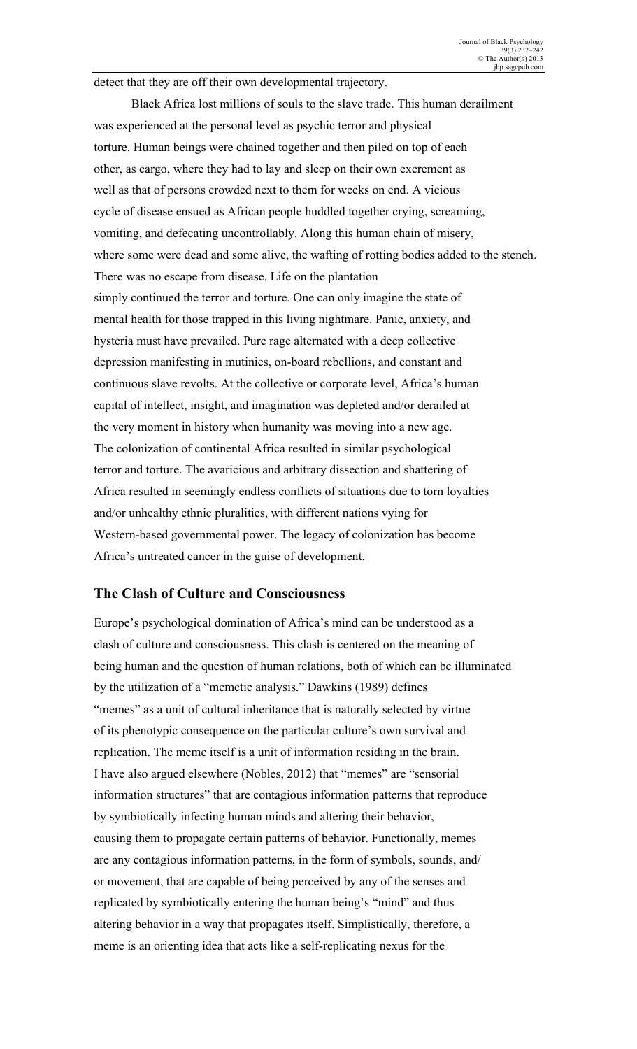detect that they are off their own developmental trajectory.

Black Africa lost millions of souls to the slave trade. This human derailment was experienced at the personal level as psychic terror and physical torture. Human beings were chained together and then piled on top of each other, as cargo, where they had to lay and sleep on their own excrement as well as that of persons crowded next to them for weeks on end. A vicious cycle of disease ensued as African people huddled together crying, screaming, vomiting, and defecating uncontrollably. Along this human chain of misery, where some were dead and some alive, the wafting of rotting bodies added to the stench. There was no escape from disease. Life on the plantation simply continued the terror and torture. One can only imagine the state of mental health for those trapped in this living nightmare. Panic, anxiety, and hysteria must have prevailed. Pure rage alternated with a deep collective depression manifesting in mutinies, on-board rebellions, and constant and continuous slave revolts. At the collective or corporate level, Africa's human capital of intellect, insight, and imagination was depleted and/or derailed at the very moment in history when humanity was moving into a new age. The colonization of continental Africa resulted in similar psychological terror and torture. The avaricious and arbitrary dissection and shattering of Africa resulted in seemingly endless conflicts of situations due to torn loyalties and/or unhealthy ethnic pluralities, with different nations vying for Western-based governmental power. The legacy of colonization has become Africa's untreated cancer in the guise of development.

## **The Clash of Culture and Consciousness**

Europe's psychological domination of Africa's mind can be understood as a clash of culture and consciousness. This clash is centered on the meaning of being human and the question of human relations, both of which can be illuminated by the utilization of a "memetic analysis." Dawkins (1989) defines "memes" as a unit of cultural inheritance that is naturally selected by virtue of its phenotypic consequence on the particular culture's own survival and replication. The meme itself is a unit of information residing in the brain. I have also argued elsewhere (Nobles, 2012) that "memes" are "sensorial information structures" that are contagious information patterns that reproduce by symbiotically infecting human minds and altering their behavior, causing them to propagate certain patterns of behavior. Functionally, memes are any contagious information patterns, in the form of symbols, sounds, and/ or movement, that are capable of being perceived by any of the senses and replicated by symbiotically entering the human being's "mind" and thus altering behavior in a way that propagates itself. Simplistically, therefore, a meme is an orienting idea that acts like a self-replicating nexus for the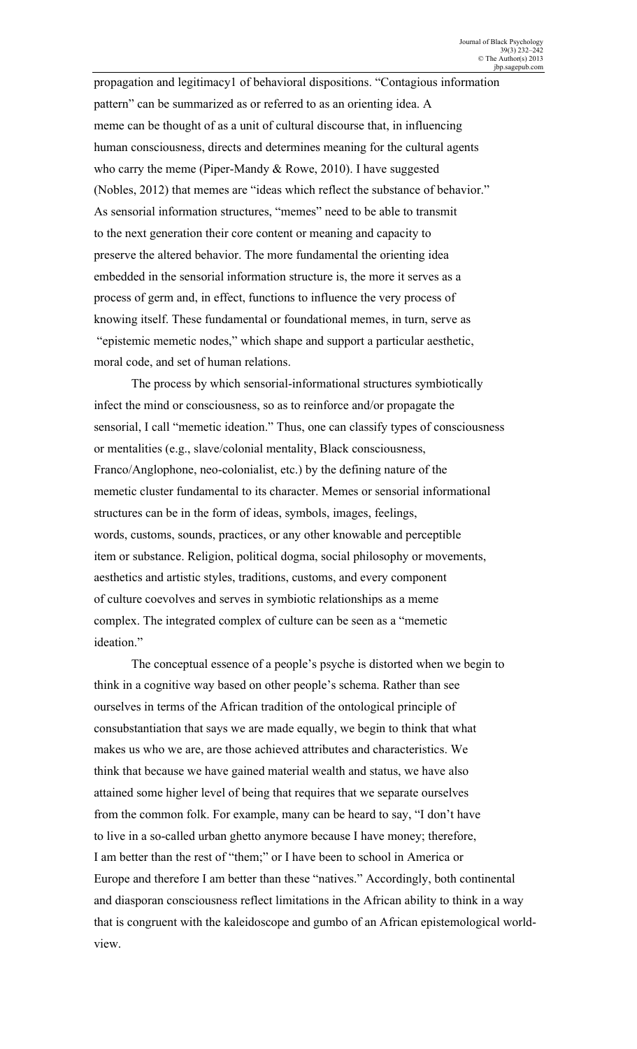propagation and legitimacy1 of behavioral dispositions. "Contagious information pattern" can be summarized as or referred to as an orienting idea. A meme can be thought of as a unit of cultural discourse that, in influencing human consciousness, directs and determines meaning for the cultural agents who carry the meme (Piper-Mandy & Rowe, 2010). I have suggested (Nobles, 2012) that memes are "ideas which reflect the substance of behavior." As sensorial information structures, "memes" need to be able to transmit to the next generation their core content or meaning and capacity to preserve the altered behavior. The more fundamental the orienting idea embedded in the sensorial information structure is, the more it serves as a process of germ and, in effect, functions to influence the very process of knowing itself. These fundamental or foundational memes, in turn, serve as "epistemic memetic nodes," which shape and support a particular aesthetic, moral code, and set of human relations.

The process by which sensorial-informational structures symbiotically infect the mind or consciousness, so as to reinforce and/or propagate the sensorial, I call "memetic ideation." Thus, one can classify types of consciousness or mentalities (e.g., slave/colonial mentality, Black consciousness, Franco/Anglophone, neo-colonialist, etc.) by the defining nature of the memetic cluster fundamental to its character. Memes or sensorial informational structures can be in the form of ideas, symbols, images, feelings, words, customs, sounds, practices, or any other knowable and perceptible item or substance. Religion, political dogma, social philosophy or movements, aesthetics and artistic styles, traditions, customs, and every component of culture coevolves and serves in symbiotic relationships as a meme complex. The integrated complex of culture can be seen as a "memetic ideation."

The conceptual essence of a people's psyche is distorted when we begin to think in a cognitive way based on other people's schema. Rather than see ourselves in terms of the African tradition of the ontological principle of consubstantiation that says we are made equally, we begin to think that what makes us who we are, are those achieved attributes and characteristics. We think that because we have gained material wealth and status, we have also attained some higher level of being that requires that we separate ourselves from the common folk. For example, many can be heard to say, "I don't have to live in a so-called urban ghetto anymore because I have money; therefore, I am better than the rest of "them;" or I have been to school in America or Europe and therefore I am better than these "natives." Accordingly, both continental and diasporan consciousness reflect limitations in the African ability to think in a way that is congruent with the kaleidoscope and gumbo of an African epistemological worldview.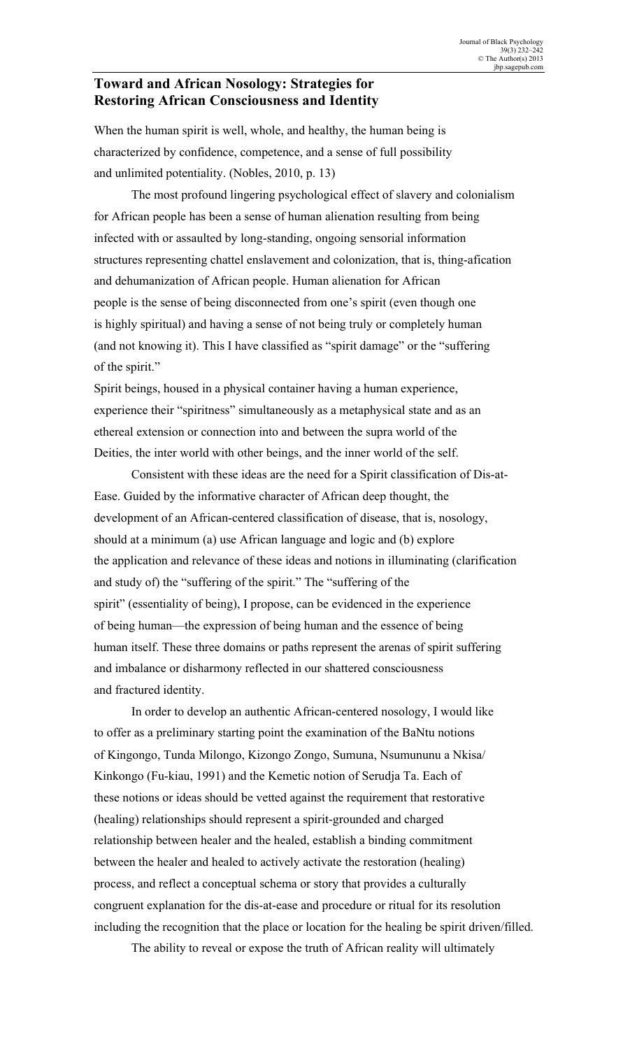## **Toward and African Nosology: Strategies for Restoring African Consciousness and Identity**

When the human spirit is well, whole, and healthy, the human being is characterized by confidence, competence, and a sense of full possibility and unlimited potentiality. (Nobles, 2010, p. 13)

The most profound lingering psychological effect of slavery and colonialism for African people has been a sense of human alienation resulting from being infected with or assaulted by long-standing, ongoing sensorial information structures representing chattel enslavement and colonization, that is, thing-afication and dehumanization of African people. Human alienation for African people is the sense of being disconnected from one's spirit (even though one is highly spiritual) and having a sense of not being truly or completely human (and not knowing it). This I have classified as "spirit damage" or the "suffering of the spirit."

Spirit beings, housed in a physical container having a human experience, experience their "spiritness" simultaneously as a metaphysical state and as an ethereal extension or connection into and between the supra world of the Deities, the inter world with other beings, and the inner world of the self.

Consistent with these ideas are the need for a Spirit classification of Dis-at-Ease. Guided by the informative character of African deep thought, the development of an African-centered classification of disease, that is, nosology, should at a minimum (a) use African language and logic and (b) explore the application and relevance of these ideas and notions in illuminating (clarification and study of) the "suffering of the spirit." The "suffering of the spirit" (essentiality of being), I propose, can be evidenced in the experience of being human—the expression of being human and the essence of being human itself. These three domains or paths represent the arenas of spirit suffering and imbalance or disharmony reflected in our shattered consciousness and fractured identity.

In order to develop an authentic African-centered nosology, I would like to offer as a preliminary starting point the examination of the BaNtu notions of Kingongo, Tunda Milongo, Kizongo Zongo, Sumuna, Nsumununu a Nkisa/ Kinkongo (Fu-kiau, 1991) and the Kemetic notion of Serudja Ta. Each of these notions or ideas should be vetted against the requirement that restorative (healing) relationships should represent a spirit-grounded and charged relationship between healer and the healed, establish a binding commitment between the healer and healed to actively activate the restoration (healing) process, and reflect a conceptual schema or story that provides a culturally congruent explanation for the dis-at-ease and procedure or ritual for its resolution including the recognition that the place or location for the healing be spirit driven/filled.

The ability to reveal or expose the truth of African reality will ultimately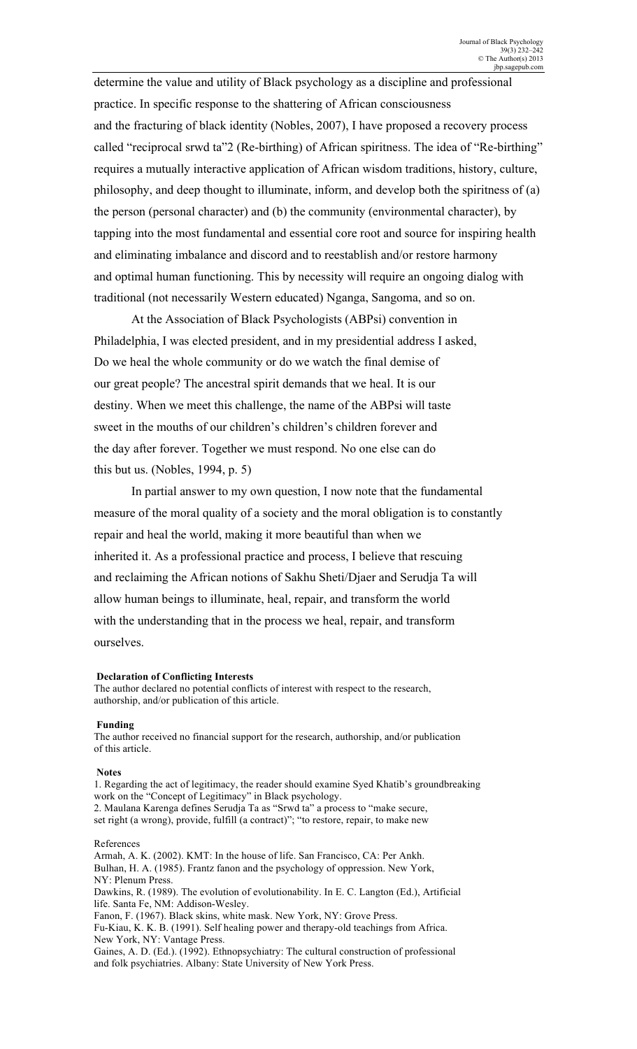determine the value and utility of Black psychology as a discipline and professional practice. In specific response to the shattering of African consciousness and the fracturing of black identity (Nobles, 2007), I have proposed a recovery process called "reciprocal srwd ta"2 (Re-birthing) of African spiritness. The idea of "Re-birthing" requires a mutually interactive application of African wisdom traditions, history, culture, philosophy, and deep thought to illuminate, inform, and develop both the spiritness of (a) the person (personal character) and (b) the community (environmental character), by tapping into the most fundamental and essential core root and source for inspiring health and eliminating imbalance and discord and to reestablish and/or restore harmony and optimal human functioning. This by necessity will require an ongoing dialog with traditional (not necessarily Western educated) Nganga, Sangoma, and so on.

At the Association of Black Psychologists (ABPsi) convention in Philadelphia, I was elected president, and in my presidential address I asked, Do we heal the whole community or do we watch the final demise of our great people? The ancestral spirit demands that we heal. It is our destiny. When we meet this challenge, the name of the ABPsi will taste sweet in the mouths of our children's children's children forever and the day after forever. Together we must respond. No one else can do this but us. (Nobles, 1994, p. 5)

In partial answer to my own question, I now note that the fundamental measure of the moral quality of a society and the moral obligation is to constantly repair and heal the world, making it more beautiful than when we inherited it. As a professional practice and process, I believe that rescuing and reclaiming the African notions of Sakhu Sheti/Djaer and Serudja Ta will allow human beings to illuminate, heal, repair, and transform the world with the understanding that in the process we heal, repair, and transform ourselves.

## **Declaration of Conflicting Interests**

The author declared no potential conflicts of interest with respect to the research, authorship, and/or publication of this article.

### **Funding**

The author received no financial support for the research, authorship, and/or publication of this article.

### **Notes**

1. Regarding the act of legitimacy, the reader should examine Syed Khatib's groundbreaking work on the "Concept of Legitimacy" in Black psychology. 2. Maulana Karenga defines Serudja Ta as "Srwd ta" a process to "make secure, set right (a wrong), provide, fulfill (a contract)"; "to restore, repair, to make new

#### References

Armah, A. K. (2002). KMT: In the house of life. San Francisco, CA: Per Ankh. Bulhan, H. A. (1985). Frantz fanon and the psychology of oppression. New York, NY: Plenum Press. Dawkins, R. (1989). The evolution of evolutionability. In E. C. Langton (Ed.), Artificial life. Santa Fe, NM: Addison-Wesley. Fanon, F. (1967). Black skins, white mask. New York, NY: Grove Press.

Fu-Kiau, K. K. B. (1991). Self healing power and therapy-old teachings from Africa. New York, NY: Vantage Press.

Gaines, A. D. (Ed.). (1992). Ethnopsychiatry: The cultural construction of professional and folk psychiatries. Albany: State University of New York Press.